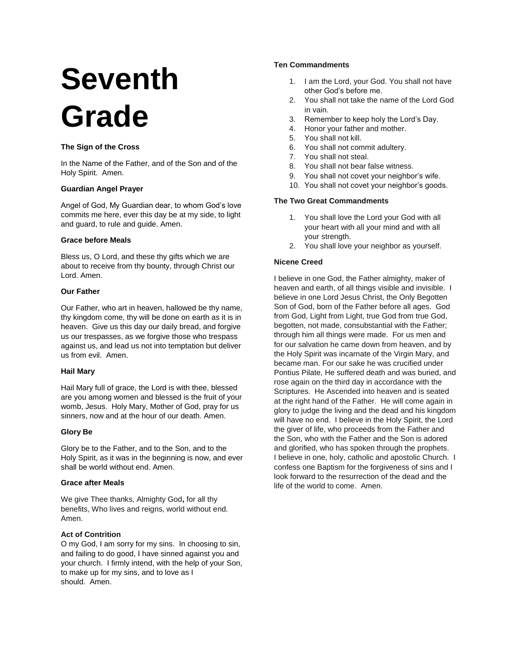# **Seventh Grade**

# **The Sign of the Cross**

In the Name of the Father, and of the Son and of the Holy Spirit. Amen.

## **Guardian Angel Prayer**

Angel of God, My Guardian dear, to whom God's love commits me here, ever this day be at my side, to light and guard, to rule and guide. Amen.

## **Grace before Meals**

Bless us, O Lord, and these thy gifts which we are about to receive from thy bounty, through Christ our Lord. Amen.

# **Our Father**

Our Father, who art in heaven, hallowed be thy name, thy kingdom come, thy will be done on earth as it is in heaven. Give us this day our daily bread, and forgive us our trespasses, as we forgive those who trespass against us, and lead us not into temptation but deliver us from evil. Amen.

## **Hail Mary**

Hail Mary full of grace, the Lord is with thee, blessed are you among women and blessed is the fruit of your womb, Jesus. Holy Mary, Mother of God, pray for us sinners, now and at the hour of our death. Amen.

## **Glory Be**

Glory be to the Father, and to the Son, and to the Holy Spirit, as it was in the beginning is now, and ever shall be world without end. Amen.

# **Grace after Meals**

We give Thee thanks, Almighty God**,** for all thy benefits, Who lives and reigns, world without end. Amen.

# **Act of Contrition**

O my God, I am sorry for my sins. In choosing to sin, and failing to do good, I have sinned against you and your church. I firmly intend, with the help of your Son, to make up for my sins, and to love as I should. Amen.

# **Ten Commandments**

- 1. I am the Lord, your God. You shall not have other God's before me.
- 2. You shall not take the name of the Lord God in vain.
- 3. Remember to keep holy the Lord's Day.
- 4. Honor your father and mother.
- 5. You shall not kill.
- 6. You shall not commit adultery.
- 7. You shall not steal.
- 8. You shall not bear false witness.
- 9. You shall not covet your neighbor's wife.
- 10. You shall not covet your neighbor's goods.

# **The Two Great Commandments**

- 1. You shall love the Lord your God with all your heart with all your mind and with all your strength.
- 2. You shall love your neighbor as yourself.

# **Nicene Creed**

I believe in one God, the Father almighty, maker of heaven and earth, of all things visible and invisible. I believe in one Lord Jesus Christ, the Only Begotten Son of God, born of the Father before all ages. God from God, Light from Light, true God from true God, begotten, not made, consubstantial with the Father; through him all things were made. For us men and for our salvation he came down from heaven, and by the Holy Spirit was incarnate of the Virgin Mary, and became man. For our sake he was crucified under Pontius Pilate, He suffered death and was buried, and rose again on the third day in accordance with the Scriptures. He Ascended into heaven and is seated at the right hand of the Father. He will come again in glory to judge the living and the dead and his kingdom will have no end. I believe in the Holy Spirit, the Lord the giver of life, who proceeds from the Father and the Son, who with the Father and the Son is adored and glorified, who has spoken through the prophets. I believe in one, holy, catholic and apostolic Church. I confess one Baptism for the forgiveness of sins and I look forward to the resurrection of the dead and the life of the world to come. Amen.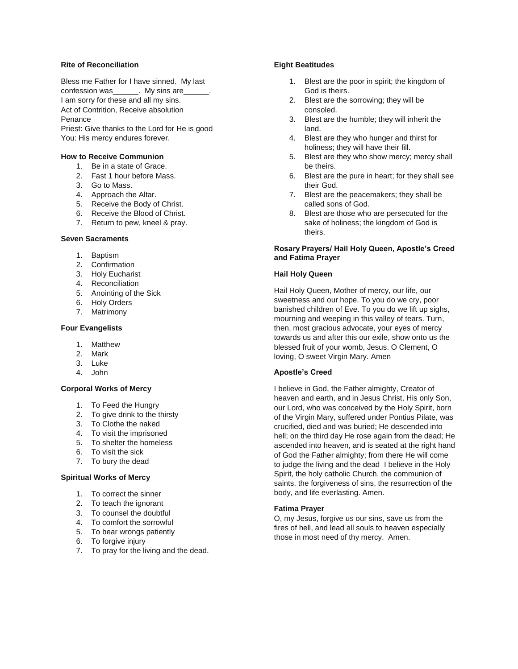## **Rite of Reconciliation**

Bless me Father for I have sinned. My last confession was\_\_\_\_\_\_. My sins are\_\_\_\_\_\_. I am sorry for these and all my sins. Act of Contrition, Receive absolution Penance Priest: Give thanks to the Lord for He is good You: His mercy endures forever.

#### **How to Receive Communion**

- 1. Be in a state of Grace.
- 2. Fast 1 hour before Mass.
- 3. Go to Mass.
- 4. Approach the Altar.
- 5. Receive the Body of Christ.
- 6. Receive the Blood of Christ.
- 7. Return to pew, kneel & pray.

#### **Seven Sacraments**

- 1. Baptism
- 2. Confirmation
- 3. Holy Eucharist
- 4. Reconciliation
- 5. Anointing of the Sick
- 6. Holy Orders
- 7. Matrimony

## **Four Evangelists**

- 1. Matthew
- 2. Mark
- 3. Luke
- 4. John

#### **Corporal Works of Mercy**

- 1. To Feed the Hungry
- 2. To give drink to the thirsty
- 3. To Clothe the naked
- 4. To visit the imprisoned
- 5. To shelter the homeless
- 6. To visit the sick
- 7. To bury the dead

#### **Spiritual Works of Mercy**

- 1. To correct the sinner
- 2. To teach the ignorant
- 3. To counsel the doubtful
- 4. To comfort the sorrowful
- 5. To bear wrongs patiently
- 6. To forgive injury
- 7. To pray for the living and the dead.

## **Eight Beatitudes**

- 1. Blest are the poor in spirit; the kingdom of God is theirs.
- 2. Blest are the sorrowing; they will be consoled.
- 3. Blest are the humble; they will inherit the land.
- 4. Blest are they who hunger and thirst for holiness; they will have their fill.
- 5. Blest are they who show mercy; mercy shall be theirs.
- 6. Blest are the pure in heart; for they shall see their God.
- 7. Blest are the peacemakers; they shall be called sons of God.
- 8. Blest are those who are persecuted for the sake of holiness; the kingdom of God is theirs.

# **Rosary Prayers/ Hail Holy Queen, Apostle's Creed and Fatima Prayer**

#### **Hail Holy Queen**

Hail Holy Queen, Mother of mercy, our life, our sweetness and our hope. To you do we cry, poor banished children of Eve. To you do we lift up sighs, mourning and weeping in this valley of tears. Turn, then, most gracious advocate, your eyes of mercy towards us and after this our exile, show onto us the blessed fruit of your womb, Jesus. O Clement, O loving, O sweet Virgin Mary. Amen

#### **Apostle's Creed**

I believe in God, the Father almighty, Creator of heaven and earth, and in Jesus Christ, His only Son, our Lord, who was conceived by the Holy Spirit, born of the Virgin Mary, suffered under Pontius Pilate, was crucified, died and was buried; He descended into hell; on the third day He rose again from the dead; He ascended into heaven, and is seated at the right hand of God the Father almighty; from there He will come to judge the living and the dead I believe in the Holy Spirit, the holy catholic Church, the communion of saints, the forgiveness of sins, the resurrection of the body, and life everlasting. Amen.

#### **Fatima Prayer**

O, my Jesus, forgive us our sins, save us from the fires of hell, and lead all souls to heaven especially those in most need of thy mercy. Amen.